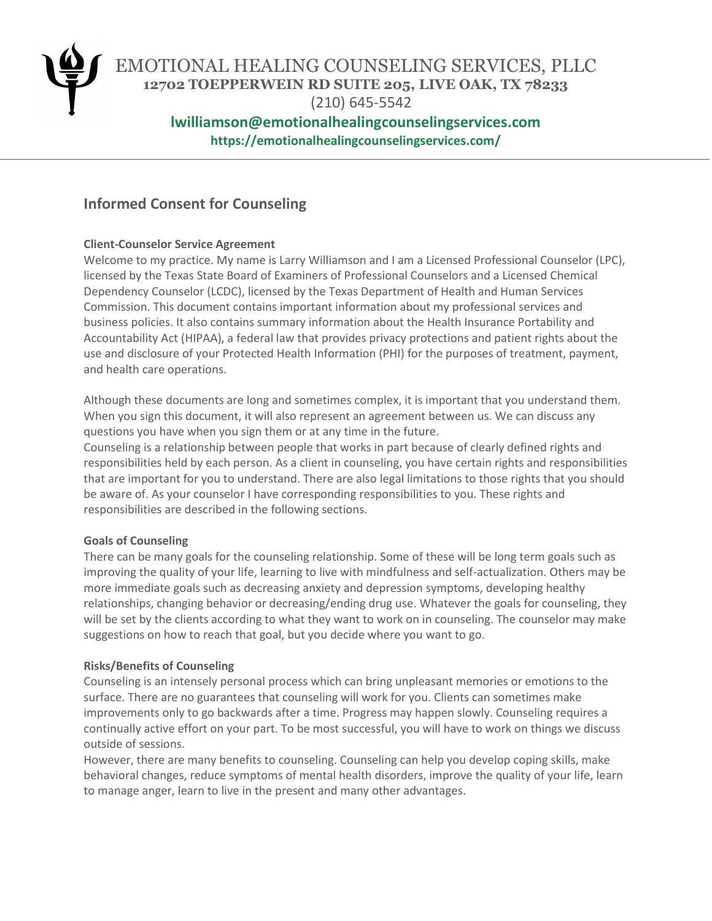

EMOTIONAL HEALING COUNSELING SERVICES, PLLC **12702 TOEPPERWEIN RD SUITE 205, LIVE OAK, TX 78233**

(210) 645-5542

# **lwilliamson@emotionalhealingcounselingservices.com https://emotionalhealingcounselingservices.com/**

# **Informed Consent for Counseling**

# **Client-Counselor Service Agreement**

Welcome to my practice. My name is Larry Williamson and I am a Licensed Professional Counselor (LPC), licensed by the Texas State Board of Examiners of Professional Counselors and a Licensed Chemical Dependency Counselor (LCDC), licensed by the Texas Department of Health and Human Services Commission. This document contains important information about my professional services and business policies. It also contains summary information about the Health Insurance Portability and Accountability Act (HIPAA), a federal law that provides privacy protections and patient rights about the use and disclosure of your Protected Health Information (PHI) for the purposes of treatment, payment, and health care operations.

Although these documents are long and sometimes complex, it is important that you understand them. When you sign this document, it will also represent an agreement between us. We can discuss any questions you have when you sign them or at any time in the future.

Counseling is a relationship between people that works in part because of clearly defined rights and responsibilities held by each person. As a client in counseling, you have certain rights and responsibilities that are important for you to understand. There are also legal limitations to those rights that you should be aware of. As your counselor I have corresponding responsibilities to you. These rights and responsibilities are described in the following sections.

# **Goals of Counseling**

There can be many goals for the counseling relationship. Some of these will be long term goals such as improving the quality of your life, learning to live with mindfulness and self-actualization. Others may be more immediate goals such as decreasing anxiety and depression symptoms, developing healthy relationships, changing behavior or decreasing/ending drug use. Whatever the goals for counseling, they will be set by the clients according to what they want to work on in counseling. The counselor may make suggestions on how to reach that goal, but you decide where you want to go.

# **Risks/Benefits of Counseling**

Counseling is an intensely personal process which can bring unpleasant memories or emotions to the surface. There are no guarantees that counseling will work for you. Clients can sometimes make improvements only to go backwards after a time. Progress may happen slowly. Counseling requires a continually active effort on your part. To be most successful, you will have to work on things we discuss outside of sessions.

However, there are many benefits to counseling. Counseling can help you develop coping skills, make behavioral changes, reduce symptoms of mental health disorders, improve the quality of your life, learn to manage anger, learn to live in the present and many other advantages.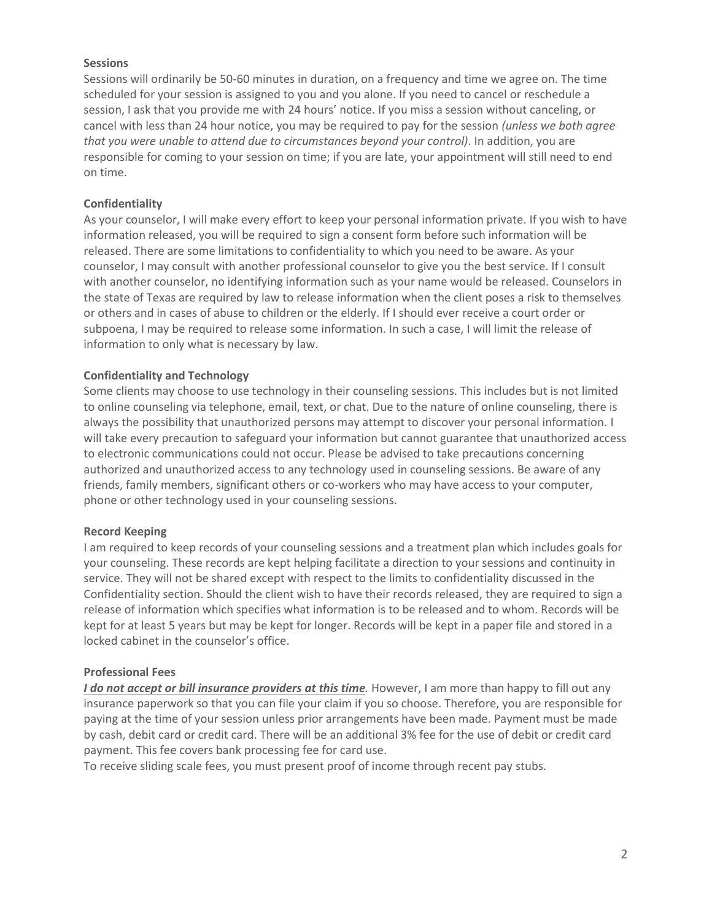### **Sessions**

Sessions will ordinarily be 50-60 minutes in duration, on a frequency and time we agree on. The time scheduled for your session is assigned to you and you alone. If you need to cancel or reschedule a session, I ask that you provide me with 24 hours' notice. If you miss a session without canceling, or cancel with less than 24 hour notice, you may be required to pay for the session *(unless we both agree that you were unable to attend due to circumstances beyond your control)*. In addition, you are responsible for coming to your session on time; if you are late, your appointment will still need to end on time.

# **Confidentiality**

As your counselor, I will make every effort to keep your personal information private. If you wish to have information released, you will be required to sign a consent form before such information will be released. There are some limitations to confidentiality to which you need to be aware. As your counselor, I may consult with another professional counselor to give you the best service. If I consult with another counselor, no identifying information such as your name would be released. Counselors in the state of Texas are required by law to release information when the client poses a risk to themselves or others and in cases of abuse to children or the elderly. If I should ever receive a court order or subpoena, I may be required to release some information. In such a case, I will limit the release of information to only what is necessary by law.

# **Confidentiality and Technology**

Some clients may choose to use technology in their counseling sessions. This includes but is not limited to online counseling via telephone, email, text, or chat. Due to the nature of online counseling, there is always the possibility that unauthorized persons may attempt to discover your personal information. I will take every precaution to safeguard your information but cannot guarantee that unauthorized access to electronic communications could not occur. Please be advised to take precautions concerning authorized and unauthorized access to any technology used in counseling sessions. Be aware of any friends, family members, significant others or co-workers who may have access to your computer, phone or other technology used in your counseling sessions.

# **Record Keeping**

I am required to keep records of your counseling sessions and a treatment plan which includes goals for your counseling. These records are kept helping facilitate a direction to your sessions and continuity in service. They will not be shared except with respect to the limits to confidentiality discussed in the Confidentiality section. Should the client wish to have their records released, they are required to sign a release of information which specifies what information is to be released and to whom. Records will be kept for at least 5 years but may be kept for longer. Records will be kept in a paper file and stored in a locked cabinet in the counselor's office.

# **Professional Fees**

*I do not accept or bill insurance providers at this time.* However, I am more than happy to fill out any insurance paperwork so that you can file your claim if you so choose. Therefore, you are responsible for paying at the time of your session unless prior arrangements have been made. Payment must be made by cash, debit card or credit card. There will be an additional 3% fee for the use of debit or credit card payment. This fee covers bank processing fee for card use.

To receive sliding scale fees, you must present proof of income through recent pay stubs.